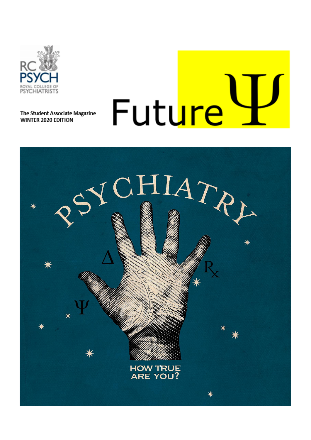

The Student Associate Magazine WINTER 2020 EDITION

# Future

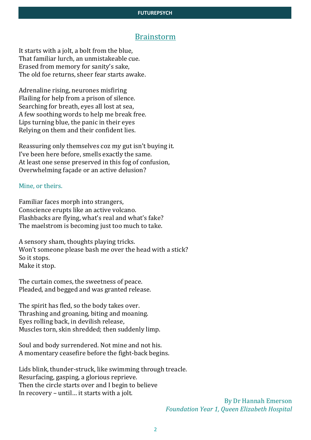### Brainstorm

It starts with a jolt, a bolt from the blue, That familiar lurch, an unmistakeable cue. Erased from memory for sanity's sake, The old foe returns, sheer fear starts awake.

Adrenaline rising, neurones misfiring Flailing for help from a prison of silence. Searching for breath, eyes all lost at sea, A few soothing words to help me break free. Lips turning blue, the panic in their eyes Relying on them and their confident lies.

Reassuring only themselves coz my gut isn't buying it. I've been here before, smells exactly the same. At least one sense preserved in this fog of confusion, Overwhelming façade or an active delusion?

#### Mine, or theirs.

Familiar faces morph into strangers, Conscience erupts like an active volcano. Flashbacks are flying, what's real and what's fake? The maelstrom is becoming just too much to take.

A sensory sham, thoughts playing tricks. Won't someone please bash me over the head with a stick? So it stops. Make it stop.

The curtain comes, the sweetness of peace. Pleaded, and begged and was granted release.

The spirit has fled, so the body takes over. Thrashing and groaning, biting and moaning. Eyes rolling back, in devilish release, Muscles torn, skin shredded; then suddenly limp.

Soul and body surrendered. Not mine and not his. A momentary ceasefire before the fight-back begins.

Lids blink, thunder-struck, like swimming through treacle. Resurfacing, gasping, a glorious reprieve. Then the circle starts over and I begin to believe In recovery – until… it starts with a jolt.

> By Dr Hannah Emerson *Foundation Year 1, Queen Elizabeth Hospital*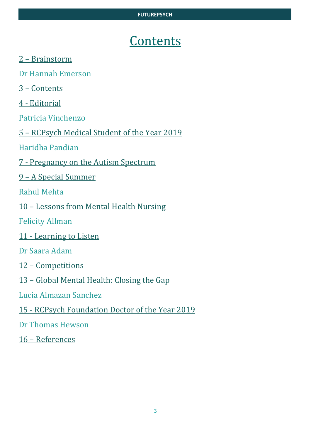# Contents

- 2 Brainstorm
- Dr Hannah Emerson
- 3 Contents
- 4 Editorial
- Patricia Vinchenzo
- 5 RCPsych Medical Student of the Year 2019
- Haridha Pandian
- 7 Pregnancy on the Autism Spectrum
- 9 A Special Summer
- Rahul Mehta
- 10 Lessons from Mental Health Nursing
- Felicity Allman
- 11 Learning to Listen
- Dr Saara Adam
- 12 Competitions
- 13 Global Mental Health: Closing the Gap
- Lucia Almazan Sanchez
- 15 RCPsych Foundation Doctor of the Year 2019
- Dr Thomas Hewson
- 16 References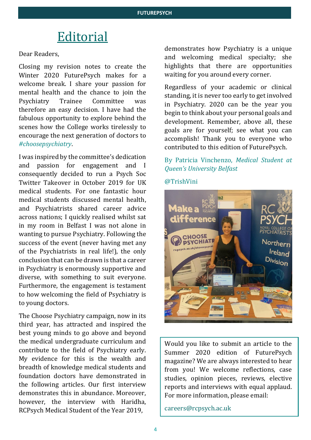# Editorial

#### Dear Readers,

Closing my revision notes to create the Winter 2020 FuturePsych makes for a welcome break. I share your passion for mental health and the chance to join the Psychiatry Trainee Committee was therefore an easy decision. I have had the fabulous opportunity to explore behind the scenes how the College works tirelessly to encourage the next generation of doctors to *#choosepsychiatry*.

I was inspired by the committee's dedication and passion for engagement and consequently decided to run a Psych Soc Twitter Takeover in October 2019 for UK medical students. For one fantastic hour medical students discussed mental health, and Psychiatrists shared career advice across nations; I quickly realised whilst sat in my room in Belfast I was not alone in wanting to pursue Psychiatry. Following the success of the event (never having met any of the Psychiatrists in real life!), the only conclusion that can be drawn is that a career in Psychiatry is enormously supportive and diverse, with something to suit everyone. Furthermore, the engagement is testament to how welcoming the field of Psychiatry is to young doctors.

The Choose Psychiatry campaign, now in its third year, has attracted and inspired the best young minds to go above and beyond the medical undergraduate curriculum and contribute to the field of Psychiatry early. My evidence for this is the wealth and breadth of knowledge medical students and foundation doctors have demonstrated in the following articles. Our first interview demonstrates this in abundance. Moreover, however, the interview with Haridha, RCPsych Medical Student of the Year 2019,

demonstrates how Psychiatry is a unique and welcoming medical specialty; she highlights that there are opportunities waiting for you around every corner.

Regardless of your academic or clinical standing, it is never too early to get involved in Psychiatry. 2020 can be the year you begin to think about your personal goals and development. Remember, above all, these goals are for yourself; see what you can accomplish! Thank you to everyone who contributed to this edition of FuturePsych.

## By Patricia Vinchenzo, *Medical Student at Queen's University Belfast*

@TrishVini



Would you like to submit an article to the Summer 2020 edition of FuturePsych magazine? We are always interested to hear from you! We welcome reflections, case studies, opinion pieces, reviews, elective reports and interviews with equal applaud. For more information, please email:

[careers@rcpsych.ac.uk](mailto:careers@rcpsych.ac.uk)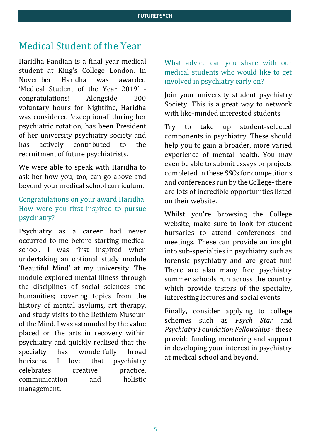# Medical Student of the Year

Haridha Pandian is a final year medical student at King's College London. In November Haridha was awarded 'Medical Student of the Year 2019' congratulations! Alongside 200 voluntary hours for Nightline, Haridha was considered 'exceptional' during her psychiatric rotation, has been President of her university psychiatry society and has actively contributed to the recruitment of future psychiatrists.

We were able to speak with Haridha to ask her how you, too, can go above and beyond your medical school curriculum.

## Congratulations on your award Haridha! How were you first inspired to pursue psychiatry?

Psychiatry as a career had never occurred to me before starting medical school. I was first inspired when undertaking an optional study module 'Beautiful Mind' at my university. The module explored mental illness through the disciplines of social sciences and humanities; covering topics from the history of mental asylums, art therapy, and study visits to the Bethlem Museum of the Mind. I was astounded by the value placed on the arts in recovery within psychiatry and quickly realised that the specialty has wonderfully broad horizons. I love that psychiatry celebrates creative practice, communication and holistic management.

What advice can you share with our medical students who would like to get involved in psychiatry early on?

Join your university student psychiatry Society! This is a great way to network with like-minded interested students.

Try to take up student-selected components in psychiatry. These should help you to gain a broader, more varied experience of mental health. You may even be able to submit essays or projects completed in these SSCs for competitions and conferences run by the College-there are lots of incredible opportunities listed on their website.

Whilst you're browsing the College website, make sure to look for student bursaries to attend conferences and meetings. These can provide an insight into sub-specialties in psychiatry such as forensic psychiatry and are great fun! There are also many free psychiatry summer schools run across the country which provide tasters of the specialty, interesting lectures and social events.

Finally, consider applying to college schemes such as *Psych Star* and *Psychiatry Foundation Fellowships* - these provide funding, mentoring and support in developing your interest in psychiatry at medical school and beyond.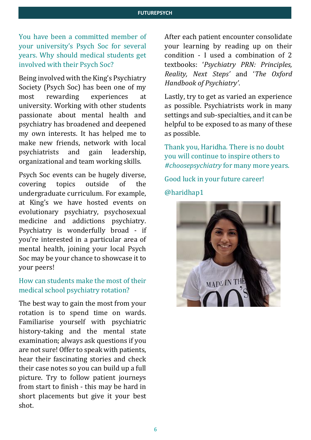You have been a committed member of your university's Psych Soc for several years. Why should medical students get involved with their Psych Soc?

Being involved with the King's Psychiatry Society (Psych Soc) has been one of my most rewarding experiences at university. Working with other students passionate about mental health and psychiatry has broadened and deepened my own interests. It has helped me to make new friends, network with local psychiatrists and gain leadership, organizational and team working skills.

Psych Soc events can be hugely diverse, covering topics outside of the undergraduate curriculum. For example, at King's we have hosted events on evolutionary psychiatry, psychosexual medicine and addictions psychiatry. Psychiatry is wonderfully broad - if you're interested in a particular area of mental health, joining your local Psych Soc may be your chance to showcase it to your peers!

## How can students make the most of their medical school psychiatry rotation?

The best way to gain the most from your rotation is to spend time on wards. Familiarise yourself with psychiatric history-taking and the mental state examination; always ask questions if you are not sure! Offer to speak with patients, hear their fascinating stories and check their case notes so you can build up a full picture. Try to follow patient journeys from start to finish - this may be hard in short placements but give it your best shot.

After each patient encounter consolidate your learning by reading up on their condition - I used a combination of 2 textbooks: '*Psychiatry PRN: Principles, Reality, Next Steps'* and '*The Oxford Handbook of Psychiatry'*.

Lastly, try to get as varied an experience as possible. Psychiatrists work in many settings and sub-specialties, and it can be helpful to be exposed to as many of these as possible.

Thank you, Haridha. There is no doubt you will continue to inspire others to *#choosepsychiatry* for many more years.

Good luck in your future career! @haridhap1

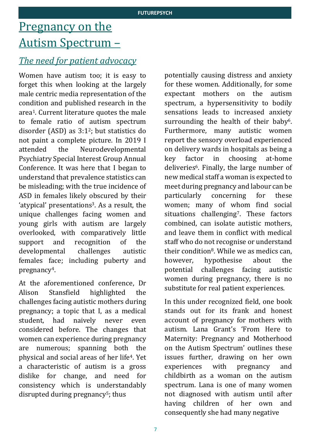# Pregnancy on the Autism Spectrum –

## *The need for patient advocacy*

Women have autism too; it is easy to forget this when looking at the largely male centric media representation of the condition and published research in the area1. Current literature quotes the male to female ratio of autism spectrum disorder (ASD) as  $3:1^2$ ; but statistics do not paint a complete picture. In 2019 I attended the Neurodevelopmental Psychiatry Special Interest Group Annual Conference. It was here that I began to understand that prevalence statistics can be misleading; with the true incidence of ASD in females likely obscured by their 'atypical' presentations3. As a result, the unique challenges facing women and young girls with autism are largely overlooked, with comparatively little support and recognition of the developmental challenges autistic females face; including puberty and pregnancy4.

At the aforementioned conference, Dr Alison Stansfield highlighted the challenges facing autistic mothers during pregnancy; a topic that I, as a medical student, had naively never even considered before. The changes that women can experience during pregnancy are numerous; spanning both the physical and social areas of her life4. Yet a characteristic of autism is a gross dislike for change, and need for consistency which is understandably disrupted during pregnancy<sup>5</sup>; thus

potentially causing distress and anxiety for these women. Additionally, for some expectant mothers on the autism spectrum, a hypersensitivity to bodily sensations leads to increased anxiety surrounding the health of their baby<sup>6</sup>. Furthermore, many autistic women report the sensory overload experienced on delivery wards in hospitals as being a key factor in choosing at-home deliveries<sup>6</sup>. Finally, the large number of new medical staff a woman is expected to meet during pregnancy and labour can be particularly concerning for these women; many of whom find social situations challenging<sup>7</sup>. These factors combined, can isolate autistic mothers, and leave them in conflict with medical staff who do not recognise or understand their condition<sup>8</sup>. While we as medics can, however, hypothesise about the potential challenges facing autistic women during pregnancy, there is no substitute for real patient experiences.

In this under recognized field, one book stands out for its frank and honest account of pregnancy for mothers with autism. Lana Grant's 'From Here to Maternity: Pregnancy and Motherhood on the Autism Spectrum' outlines these issues further, drawing on her own experiences with pregnancy and childbirth as a woman on the autism spectrum. Lana is one of many women not diagnosed with autism until after having children of her own and consequently she had many negative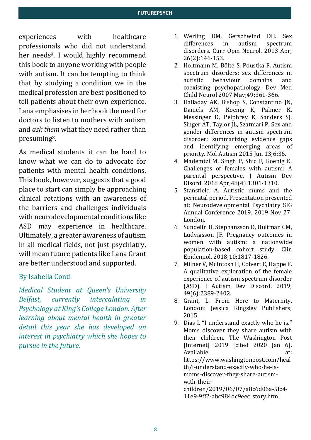experiences with healthcare professionals who did not understand her needs9. I would highly recommend this book to anyone working with people with autism. It can be tempting to think that by studying a condition we in the medical profession are best positioned to tell patients about their own experience. Lana emphasises in her book the need for doctors to listen to mothers with autism and *ask them* what they need rather than presuming8.

As medical students it can be hard to know what we can do to advocate for patients with mental health conditions. This book, however, suggests that a good place to start can simply be approaching clinical rotations with an awareness of the barriers and challenges individuals with neurodevelopmental conditions like ASD may experience in healthcare. Ultimately, a greater awareness of autism in all medical fields, not just psychiatry, will mean future patients like Lana Grant are better understood and supported.

## By Isabella Conti

*Medical Student at Queen's University Belfast, currently intercalating in Psychology at King's College London. After learning about mental health in greater detail this year she has developed an interest in psychiatry which she hopes to pursue in the future.*

- 1. Werling DM, Gerschwind DH. Sex differences in autism spectrum disorders. Curr Opin Neurol. 2013 Apr; 26(2):146-153.
- 2. Holtmann M, Bölte S, Poustka F. Autism spectrum disorders: sex differences in autistic behaviour domains and coexisting psychopathology. Dev Med Child Neurol 2007 May;49:361-366.
- 3. Halladay AK, Bishop S, Constantino JN, Daniels AM, Koenig K, Palmer K, Messinger D, Pelphrey K, Sanders SJ, Singer AT, Taylor IL, Szatmari P, Sex and gender differences in autism spectrum disorder: summarizing evidence gaps and identifying emerging areas of priority. Mol Autism 2015 Jun 13;6:36.
- 4. Mademtzi M, Singh P, Shic F, Koenig K. Challenges of females with autism: A parental perspective. J Autism Dev Disord. 2018 Apr;48(4):1301-1310.
- 5. Stansfield A. Autistic mums and the perinatal period. Presentation presented at; Neurodevelopmental Psychiatry SIG Annual Conference 2019. 2019 Nov 27; London.
- 6. Sundelin H, Stephansson O, Hultman CM, Ludvigsson JF. Pregnancy outcomes in women with autism: a nationwide population-based cohort study. Clin Epidemiol. 2018;10:1817-1826.
- 7. Milner V, McIntosh H, Colvert E, Happe F. A qualitative exploration of the female experience of autism spectrum disorder (ASD). J Autism Dev Discord. 2019; 49(6):2389-2402.
- 8. Grant, L. From Here to Maternity. London: Jessica Kingsley Publishers; 2015

9. Dias I. "I understand exactly who he is." Moms discover they share autism with their children. The Washington Post [Internet] 2019 [cited 2020 Jan 6]. Available at: https://www.washingtonpost.com/heal th/i-understand-exactly-who-he-ismoms-discover-they-share-autismwith-theirchildren/2019/06/07/a8c6d06a-5fc4- 11e9-9ff2-abc984dc9eec\_story.html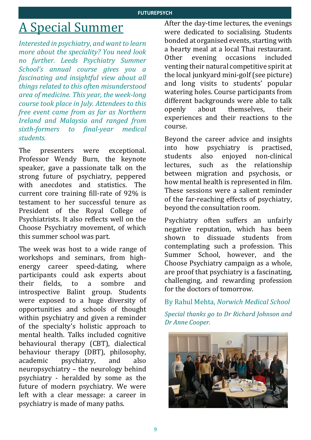# A Special Summer

*Interested in psychiatry, and want to learn more about the speciality? You need look no further. Leeds Psychiatry Summer School's annual course gives you a fascinating and insightful view about all things related to this often misunderstood area of medicine. This year, the week-long course took place in July. Attendees to this free event came from as far as Northern Ireland and Malaysia and ranged from sixth-formers to final-year medical students.* 

The presenters were exceptional. Professor Wendy Burn, the keynote speaker, gave a passionate talk on the strong future of psychiatry, peppered with anecdotes and statistics. The current core training fill-rate of 92% is testament to her successful tenure as President of the Royal College of Psychiatrists. It also reflects well on the Choose Psychiatry movement, of which this summer school was part.

The week was host to a wide range of workshops and seminars, from highenergy career speed-dating, where participants could ask experts about their fields, to a sombre and introspective Balint group. Students were exposed to a huge diversity of opportunities and schools of thought within psychiatry and given a reminder of the specialty's holistic approach to mental health. Talks included cognitive behavioural therapy (CBT), dialectical behaviour therapy (DBT), philosophy, academic psychiatry, and also neuropsychiatry – the neurology behind psychiatry - heralded by some as the future of modern psychiatry. We were left with a clear message: a career in psychiatry is made of many paths.

After the day-time lectures, the evenings were dedicated to socialising. Students bonded at organised events, starting with a hearty meal at a local Thai restaurant. Other evening occasions included venting their natural competitive spirit at the local junkyard mini-golf (see picture) and long visits to students' popular watering holes. Course participants from different backgrounds were able to talk openly about themselves, their experiences and their reactions to the course.

Beyond the career advice and insights into how psychiatry is practised, students also enjoyed non-clinical lectures, such as the relationship between migration and psychosis, or how mental health is represented in film. These sessions were a salient reminder of the far-reaching effects of psychiatry, beyond the consultation room.

Psychiatry often suffers an unfairly negative reputation, which has been shown to dissuade students from contemplating such a profession. This Summer School, however, and the Choose Psychiatry campaign as a whole, are proof that psychiatry is a fascinating, challenging, and rewarding profession for the doctors of tomorrow.

By Rahul Mehta, *Norwich Medical School*

*Special thanks go to Dr Richard Johnson and Dr Anne Cooper.* 

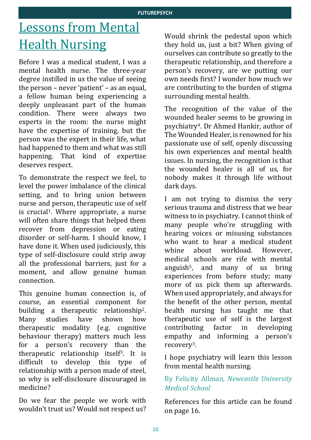# Lessons from Mental **Health Nursing**

Before I was a medical student, I was a mental health nurse. The three-year degree instilled in us the value of seeing the person – never 'patient' – as an equal, a fellow human being experiencing a deeply unpleasant part of the human condition. There were always two experts in the room: the nurse might have the expertise of training, but the person was the expert in their life, what had happened to them and what was still happening. That kind of expertise deserves respect.

To demonstrate the respect we feel, to level the power imbalance of the clinical setting, and to bring union between nurse and person, therapeutic use of self is crucial<sup>1</sup>. Where appropriate, a nurse will often share things that helped them recover from depression or eating disorder or self-harm. I should know, I have done it. When used judiciously, this type of self-disclosure could strip away all the professional barriers, just for a moment, and allow genuine human connection.

This genuine human connection is, of course, an essential component for building a therapeutic relationship2. Many studies have shown how therapeutic modality (e.g. cognitive behaviour therapy) matters much less for a person's recovery than the therapeutic relationship itself3. It is difficult to develop this type of relationship with a person made of steel, so why is self-disclosure discouraged in medicine?

Do we fear the people we work with wouldn't trust us? Would not respect us?

Would shrink the pedestal upon which they hold us, just a bit? When giving of ourselves can contribute so greatly to the therapeutic relationship, and therefore a person's recovery, are we putting our own needs first? I wonder how much we are contributing to the burden of stigma surrounding mental health.

The recognition of the value of the wounded healer seems to be growing in psychiatry4. Dr Ahmed Hankir, author of The Wounded Healer, is renowned for his passionate use of self, openly discussing his own experiences and mental health issues. In nursing, the recognition is that the wounded healer is all of us, for nobody makes it through life without dark days.

I am not trying to dismiss the very serious trauma and distress that we bear witness to in psychiatry. I cannot think of many people who're struggling with hearing voices or misusing substances who want to hear a medical student whine about workload. However, medical schools are rife with mental anguish5, and many of us bring experiences from before study; many more of us pick them up afterwards. When used appropriately, and always for the benefit of the other person, mental health nursing has taught me that therapeutic use of self is the largest contributing factor in developing empathy and informing a person's recovery3.

I hope psychiatry will learn this lesson from mental health nursing.

## By Felicity Allman, *Newcastle University Medical School*

References for this article can be found on page 16.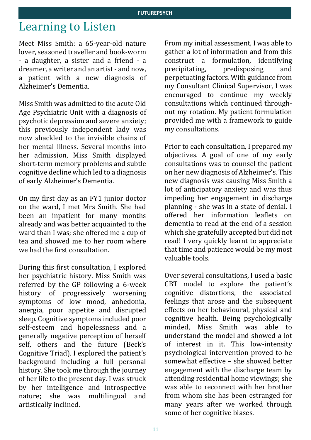# Learning to Listen

Meet Miss Smith: a 65-year-old nature lover, seasoned traveller and book-worm - a daughter, a sister and a friend - a dreamer, a writer and an artist - and now, a patient with a new diagnosis of Alzheimer's Dementia.

Miss Smith was admitted to the acute Old Age Psychiatric Unit with a diagnosis of psychotic depression and severe anxiety; this previously independent lady was now shackled to the invisible chains of her mental illness. Several months into her admission, Miss Smith displayed short-term memory problems and subtle cognitive decline which led to a diagnosis of early Alzheimer's Dementia.

On my first day as an FY1 junior doctor on the ward, I met Mrs Smith. She had been an inpatient for many months already and was better acquainted to the ward than I was; she offered me a cup of tea and showed me to her room where we had the first consultation.

During this first consultation, I explored her psychiatric history. Miss Smith was referred by the GP following a 6-week history of progressively worsening symptoms of low mood, anhedonia, anergia, poor appetite and disrupted sleep. Cognitive symptoms included poor self-esteem and hopelessness and a generally negative perception of herself self, others and the future (Beck's Cognitive Triad). I explored the patient's background including a full personal history. She took me through the journey of her life to the present day. I was struck by her intelligence and introspective nature; she was multilingual and artistically inclined.

From my initial assessment, I was able to gather a lot of information and from this construct a formulation, identifying precipitating, predisposing and perpetuating factors. With guidance from my Consultant Clinical Supervisor, I was encouraged to continue my weekly consultations which continued throughout my rotation. My patient formulation provided me with a framework to guide my consultations.

Prior to each consultation, I prepared my objectives. A goal of one of my early consultations was to counsel the patient on her new diagnosis of Alzheimer's. This new diagnosis was causing Miss Smith a lot of anticipatory anxiety and was thus impeding her engagement in discharge planning - she was in a state of denial. I offered her information leaflets on dementia to read at the end of a session which she gratefully accepted but did not read! I very quickly learnt to appreciate that time and patience would be my most valuable tools.

Over several consultations, I used a basic CBT model to explore the patient's cognitive distortions, the associated feelings that arose and the subsequent effects on her behavioural, physical and cognitive health. Being psychologically minded, Miss Smith was able to understand the model and showed a lot of interest in it. This low-intensity psychological intervention proved to be somewhat effective – she showed better engagement with the discharge team by attending residential home viewings; she was able to reconnect with her brother from whom she has been estranged for many years after we worked through some of her cognitive biases.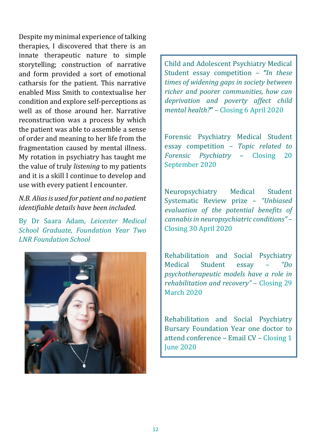Despite my minimal experience of talking therapies, I discovered that there is an innate therapeutic nature to simple storytelling; construction of narrative and form provided a sort of emotional catharsis for the patient. This narrative enabled Miss Smith to contextualise her condition and explore self-perceptions as well as of those around her. Narrative reconstruction was a process by which the patient was able to assemble a sense of order and meaning to her life from the fragmentation caused by mental illness. My rotation in psychiatry has taught me the value of truly *listening* to my patients and it is a skill I continue to develop and use with every patient I encounter.

## *N.B. Alias is used for patient and no patient identifiable details have been included.*

By Dr Saara Adam, *Leicester Medical School Graduate, Foundation Year Two LNR Foundation School*



Child and Adolescent Psychiatry Medical Student essay competition – *"In these times of widening gaps in society between richer and poorer communities, how can deprivation and poverty affect child mental health?***"** – Closing 6 April 2020

Forensic Psychiatry Medical Student essay competition – *Topic related to Forensic Psychiatry* – Closing 20 September 2020

Neuropsychiatry Medical Student Systematic Review prize – *"Unbiased evaluation of the potential benefits of cannabis in neuropsychiatric conditions"* – Closing 30 April 2020

Rehabilitation and Social Psychiatry Medical Student essay – *"Do psychotherapeutic models have a role in rehabilitation and recovery"* – Closing 29 March 2020

Rehabilitation and Social Psychiatry Bursary Foundation Year one doctor to attend conference – Email CV – Closing 1 June 2020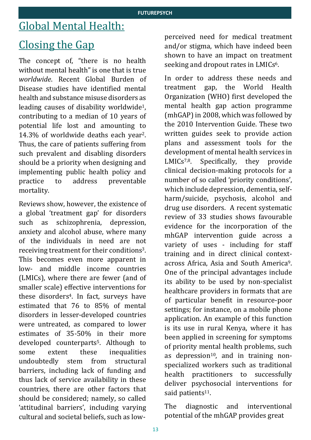# Global Mental Health:

# Closing the Gap

The concept of, "there is no health without mental health" is one that is true *worldwide*. Recent Global Burden of Disease studies have identified mental health and substance misuse disorders as leading causes of disability worldwide1, contributing to a median of 10 years of potential life lost and amounting to 14.3% of worldwide deaths each year2. Thus, the care of patients suffering from such prevalent and disabling disorders should be a priority when designing and implementing public health policy and practice to address preventable mortality.

Reviews show, however, the existence of a global 'treatment gap' for disorders such as schizophrenia, depression, anxiety and alcohol abuse, where many of the individuals in need are not receiving treatment for their conditions3. This becomes even more apparent in low- and middle income countries (LMICs), where there are fewer (and of smaller scale) effective interventions for these disorders4. In fact, surveys have estimated that 76 to 85% of mental disorders in lesser-developed countries were untreated, as compared to lower estimates of 35-50% in their more developed counterparts5. Although to some extent these inequalities undoubtedly stem from structural barriers, including lack of funding and thus lack of service availability in these countries, there are other factors that should be considered; namely, so called 'attitudinal barriers', including varying cultural and societal beliefs, such as lowperceived need for medical treatment and/or stigma, which have indeed been shown to have an impact on treatment seeking and dropout rates in LMICs<sup>6</sup>.

In order to address these needs and treatment gap, the World Health Organization (WHO) first developed the mental health gap action programme (mhGAP) in 2008, which was followed by the 2010 Intervention Guide. These two written guides seek to provide action plans and assessment tools for the development of mental health services in LMICs<sup>7,8</sup>. Specifically, they provide clinical decision-making protocols for a number of so called 'priority conditions', which include depression, dementia, selfharm/suicide, psychosis, alcohol and drug use disorders. A recent systematic review of 33 studies shows favourable evidence for the incorporation of the mhGAP intervention guide across a variety of uses - including for staff training and in direct clinical contextacross Africa, Asia and South America<sup>9</sup>. One of the principal advantages include its ability to be used by non-specialist healthcare providers in formats that are of particular benefit in resource-poor settings; for instance, on a mobile phone application. An example of this function is its use in rural Kenya, where it has been applied in screening for symptoms of priority mental health problems, such as depression $10$ , and in training nonspecialized workers such as traditional health practitioners to successfully deliver psychosocial interventions for said patients<sup>11</sup>.

The diagnostic and interventional potential of the mhGAP provides great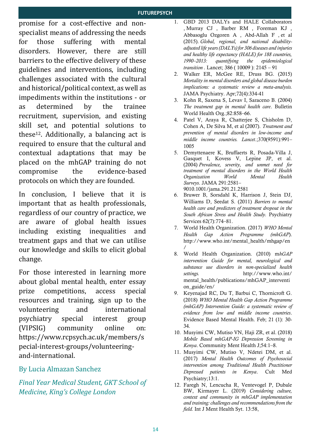promise for a cost-effective and nonspecialist means of addressing the needs for those suffering with mental disorders. However, there are still barriers to the effective delivery of these guidelines and interventions, including challenges associated with the cultural and historical/political context, as well as impediments within the institutions - or as determined by the trainee recruitment, supervision, and existing skill set, and potential solutions to these12. Additionally, a balancing act is required to ensure that the cultural and contextual adaptations that may be placed on the mhGAP training do not compromise the evidence-based protocols on which they are founded.

In conclusion, I believe that it is important that as health professionals, regardless of our country of practice, we are aware of global health issues including existing inequalities and treatment gaps and that we can utilise our knowledge and skills to elicit global change.

For those interested in learning more about global mental health, enter essay prize competitions, access special resources and training, sign up to the volunteering and international psychiatry special interest group (VIPSIG) community online on: [https://www.rcpsych.ac.uk/members/s](https://www.rcpsych.ac.uk/members/special-interest-groups/volunteering-and-international) [pecial-interest-groups/volunteering](https://www.rcpsych.ac.uk/members/special-interest-groups/volunteering-and-international)[and-international.](https://www.rcpsych.ac.uk/members/special-interest-groups/volunteering-and-international)

## By Lucia Almazan Sanchez

*Final Year Medical Student, GKT School of Medicine, King's College London*

- 1. GBD 2013 DALYs and HALE Collaborators , Murray CJ , Barber RM , Foreman KJ , Abbasoglu Ozgoren A , Abd-Allah F , et al (2015). *Global, regional, and national disabilityadjusted life years (DALYs) for 306 diseases and injuries and healthy life expectancy (HALE) for 188 countries, 1990–2013: quantifying the epidemiological transition .* Lancet; 386 ( 10009 ): 2145 – 91
- 2. Walker ER, McGee RE, Druss BG. (2015) *Mortality in mental disorders and global disease burden implications: a systematic review a meta-analysis.* JAMA Psychiatry. Apr;72(4):334-41
- 3. Kohn R, Saxena S, Levav I, Saraceno B. (2004) *The treatment gap in mental health care*. Bulletin World Health Org.;82:858–66.
- 4. Patel V, Araya R, Chatterjee S, Chisholm D, Cohen A, De Silva M, et al (2007). *Treatment and prevention of mental disorders in low-income and middle income countries. Lancet*.;370(9591):991– 1005
- 5. Demyttenaere K, Bruffaerts R, Posada-Villa J, Gasquet I, Kovess V, Lepine JP, et al. (2004) *Prevalence, severity, and unmet need for treatment of mental disorders in the World Health Organization World Mental Health Surveys*. JAMA 291:2581– 9010.1001/jama.291.21.2581
- 6. Bruwer B, Sorsdahl K, Harrison J, Stein DJ, Williams D, Seedat S. (2011) *Barriers to mental health care and predictors of treatment dropout in the South African Stress and Health Study.* Psychiatry Services 62(7):774–81.
- 7. World Health Organization. (2017) *WHO Mental Health Gap Action Programme (mhGAP*). http://www.who.int/mental\_health/mhgap/en /
- 8. World Health Organization. (2010) m*hGAP intervention Guide for mental, neurological and substance use disorders in non-specialized health settings.* http://www.who.int/ mental\_health/publications/mhGAP\_interventi on\_guide/en/
- 9. Keyenajad RC, Du T, Barbui C, Thornicroft G. (2018) *WHO Mental Health Gap Action Programme (mhGAP) Intervention Guide: a systematic review of evidence from low and middle income countries*. Evidence Based Mental Health. Feb; 21 (1): 30- 34.
- 10. Musyimi CW, Mutiso VN, Haji ZR, et al. (2018) *Mobile Based mhGAP-IG Depression Screening in Kenya*. Community Ment Health J;54:1–8.
- 11. Musyimi CW, Mutiso V, Ndetei DM, et al. (2017) *Mental Health Outcomes of Psychosocial intervention among Traditional Health Practitioner Depressed patients in Kenya*. Cult Med Psychiatry;13:1.
- 12. Faregh N, Lencucha R, Ventevogel P, Dubale BW, Kirmayer L. (2019) *Considering culture, context and community in mhGAP implementation and training: challenges and recommendations from the field.* Int J Ment Health Syt. 13:58,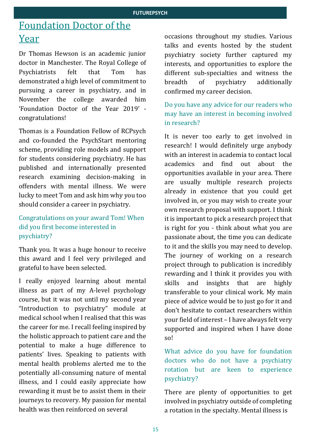# Foundation Doctor of the Year

Dr Thomas Hewson is an academic junior doctor in Manchester. The Royal College of Psychiatrists felt that Tom has demonstrated a high level of commitment to pursuing a career in psychiatry, and in November the college awarded him 'Foundation Doctor of the Year 2019' congratulations!

Thomas is a Foundation Fellow of RCPsych and co-founded the PsychStart mentoring scheme, providing role models and support for students considering psychiatry. He has published and internationally presented research examining decision-making in offenders with mental illness. We were lucky to meet Tom and ask him why you too should consider a career in psychiatry.

## Congratulations on your award Tom! When did you first become interested in psychiatry?

Thank you. It was a huge honour to receive this award and I feel very privileged and grateful to have been selected.

I really enjoyed learning about mental illness as part of my A-level psychology course, but it was not until my second year "Introduction to psychiatry" module at medical school when I realised that this was the career for me. I recall feeling inspired by the holistic approach to patient care and the potential to make a huge difference to patients' lives. Speaking to patients with mental health problems alerted me to the potentially all-consuming nature of mental illness, and I could easily appreciate how rewarding it must be to assist them in their journeys to recovery. My passion for mental health was then reinforced on several

occasions throughout my studies. Various talks and events hosted by the student psychiatry society further captured my interests, and opportunities to explore the different sub-specialties and witness the breadth of psychiatry additionally confirmed my career decision.

## Do you have any advice for our readers who may have an interest in becoming involved in research?

It is never too early to get involved in research! I would definitely urge anybody with an interest in academia to contact local academics and find out about the opportunities available in your area. There are usually multiple research projects already in existence that you could get involved in, or you may wish to create your own research proposal with support. I think it is important to pick a research project that is right for you - think about what you are passionate about, the time you can dedicate to it and the skills you may need to develop. The journey of working on a research project through to publication is incredibly rewarding and I think it provides you with skills and insights that are highly transferable to your clinical work. My main piece of advice would be to just go for it and don't hesitate to contact researchers within your field of interest – I have always felt very supported and inspired when I have done so!

What advice do you have for foundation doctors who do not have a psychiatry rotation but are keen to experience psychiatry?

There are plenty of opportunities to get involved in psychiatry outside of completing a rotation in the specialty. Mental illness is